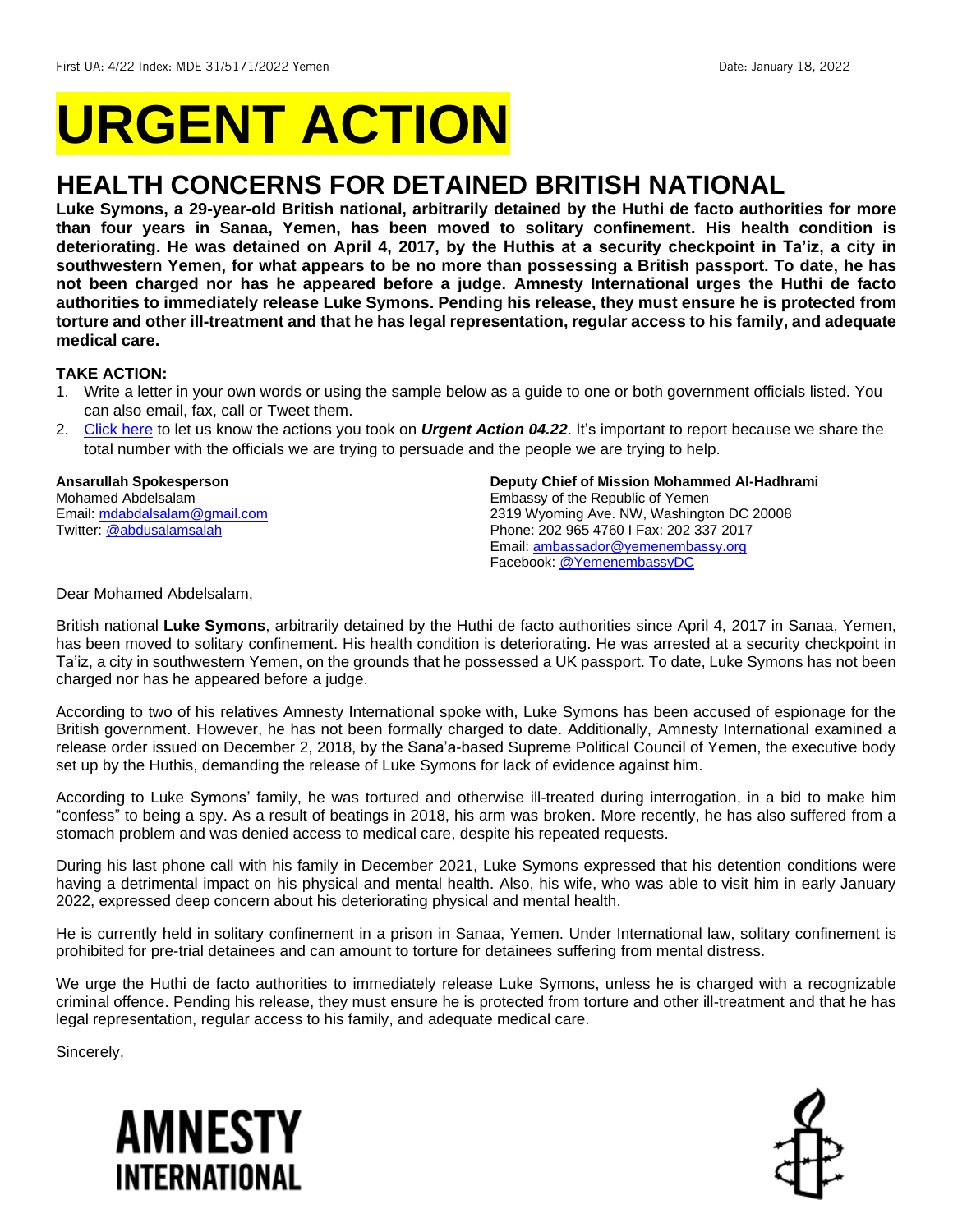# **URGENT ACTION**

# **HEALTH CONCERNS FOR DETAINED BRITISH NATIONAL**

**Luke Symons, a 29-year-old British national, arbitrarily detained by the Huthi de facto authorities for more than four years in Sanaa, Yemen, has been moved to solitary confinement. His health condition is deteriorating. He was detained on April 4, 2017, by the Huthis at a security checkpoint in Ta'iz, a city in southwestern Yemen, for what appears to be no more than possessing a British passport. To date, he has not been charged nor has he appeared before a judge. Amnesty International urges the Huthi de facto authorities to immediately release Luke Symons. Pending his release, they must ensure he is protected from torture and other ill-treatment and that he has legal representation, regular access to his family, and adequate medical care.**

# **TAKE ACTION:**

- 1. Write a letter in your own words or using the sample below as a guide to one or both government officials listed. You can also email, fax, call or Tweet them.
- 2. [Click here](https://www.amnestyusa.org/report-urgent-actions/) to let us know the actions you took on *Urgent Action 04.22*. It's important to report because we share the total number with the officials we are trying to persuade and the people we are trying to help.

# **Ansarullah Spokesperson**

Mohamed Abdelsalam Email[: mdabdalsalam@gmail.com](mailto:mdabdalsalam@gmail.com) Twitter: [@abdusalamsalah](https://twitter.com/abdusalamsalah)

#### **Deputy Chief of Mission Mohammed Al-Hadhrami**

Embassy of the Republic of Yemen 2319 Wyoming Ave. NW, Washington DC 20008 Phone: 202 965 4760 I Fax: 202 337 2017 Email: [ambassador@yemenembassy.org](mailto:ambassador@yemenembassy.org) Facebook[: @YemenembassyDC](https://www.facebook.com/Yemenembassy.DC/)

Dear Mohamed Abdelsalam,

British national **Luke Symons**, arbitrarily detained by the Huthi de facto authorities since April 4, 2017 in Sanaa, Yemen, has been moved to solitary confinement. His health condition is deteriorating. He was arrested at a security checkpoint in Ta'iz, a city in southwestern Yemen, on the grounds that he possessed a UK passport. To date, Luke Symons has not been charged nor has he appeared before a judge.

According to two of his relatives Amnesty International spoke with, Luke Symons has been accused of espionage for the British government. However, he has not been formally charged to date. Additionally, Amnesty International examined a release order issued on December 2, 2018, by the Sana'a-based Supreme Political Council of Yemen, the executive body set up by the Huthis, demanding the release of Luke Symons for lack of evidence against him.

According to Luke Symons' family, he was tortured and otherwise ill-treated during interrogation, in a bid to make him "confess" to being a spy. As a result of beatings in 2018, his arm was broken. More recently, he has also suffered from a stomach problem and was denied access to medical care, despite his repeated requests.

During his last phone call with his family in December 2021, Luke Symons expressed that his detention conditions were having a detrimental impact on his physical and mental health. Also, his wife, who was able to visit him in early January 2022, expressed deep concern about his deteriorating physical and mental health.

He is currently held in solitary confinement in a prison in Sanaa, Yemen. Under International law, solitary confinement is prohibited for pre-trial detainees and can amount to torture for detainees suffering from mental distress.

We urge the Huthi de facto authorities to immediately release Luke Symons, unless he is charged with a recognizable criminal offence. Pending his release, they must ensure he is protected from torture and other ill-treatment and that he has legal representation, regular access to his family, and adequate medical care.

Sincerely,